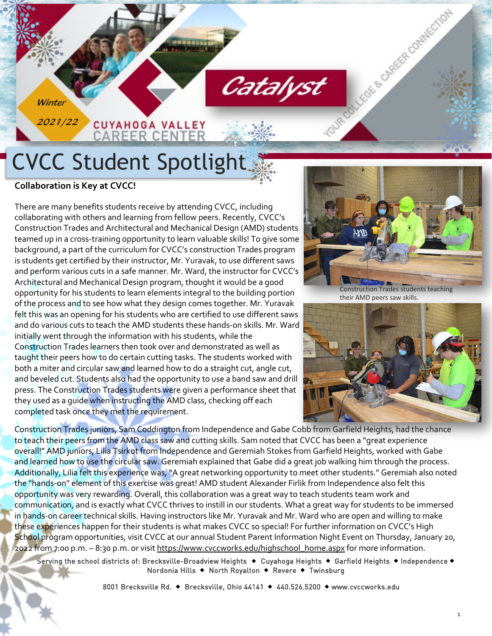# CVCC Student Spotlight

**CUYAHOGA VALLEY CAREER CENTER** 

**Collaboration is Key at CVCC!**

**Winter** 

2021/22

There are many benefits students receive by attending CVCC, including collaborating with others and learning from fellow peers. Recently, CVCC's Construction Trades and Architectural and Mechanical Design (AMD) students teamed up in a cross-training opportunity to learn valuable skills! To give some background, a part of the curriculum for CVCC's construction Trades program is students get certified by their instructor, Mr. Yuravak, to use different saws and perform various cuts in a safe manner. Mr. Ward, the instructor for CVCC's Architectural and Mechanical Design program, thought it would be a good opportunity for his students to learn elements integral to the building portion of the process and to see how what they design comes together. Mr. Yuravak felt this was an opening for his students who are certified to use different saws and do various cuts to teach the AMD students these hands-on skills. Mr. Ward initially went through the information with his students, while the Construction Trades learners then took over and demonstrated as well as taught their peers how to do certain cutting tasks. The students worked with both a miter and circular saw and learned how to do a straight cut, angle cut, and beveled cut. Students also had the opportunity to use a band saw and drill press. The Construction Trades students were given a performance sheet that they used as a guide when instructing the AMD class, checking off each completed task once they met the requirement.



TOUR COLLEGE & CAREER COMMESTION

their AMD peers saw skills.



Construction Trades juniors, Sam Coddington from Independence and Gabe Cobb from Garfield Heights, had the chance to teach their peers from the AMD class saw and cutting skills. Sam noted that CVCC has been a "great experience overall!" AMD juniors, Lilia Tsirkot from Independence and Geremiah Stokes from Garfield Heights, worked with Gabe and learned how to use the circular saw. Geremiah explained that Gabe did a great job walking him through the process. Additionally, Lilia felt this experience was, "A great networking opportunity to meet other students." Geremiah also noted the "hands-on" element of this exercise was great! AMD student Alexander Firlik from Independence also felt this opportunity was very rewarding. Overall, this collaboration was a great way to teach students team work and communication, and is exactly what CVCC thrives to instill in our students. What a great way for students to be immersed in hands-on career technical skills. Having instructors like Mr. Yuravak and Mr. Ward who are open and willing to make these experiences happen for their students is what makes CVCC so special! For further information on CVCC's High School program opportunities, visit CVCC at our annual Student Parent Information Night Event on Thursday, January 20, 2022 from 7:00 p.m. – 8:30 p.m. or visit https://www.cvccworks.edu/highschool\_home.aspx for more information.

Catalyst

Serving the school districts of: Brecksville-Broadview Heights + Cuyahoga Heights + Garfield Heights + Independence + Nordonia Hills ◆ North Royalton ◆ Revere ◆ Twinsburg

8001 Brecksville Rd. • Brecksville, Ohio 44141 • 440.526.5200 • www.cvccworks.edu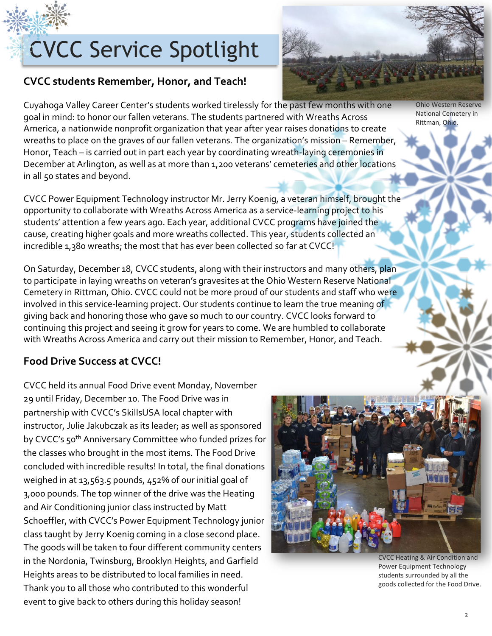# CVCC Service Spotlight

### **CVCC students Remember, Honor, and Teach!**

Cuyahoga Valley Career Center's students worked tirelessly for the past few months with one goal in mind: to honor our fallen veterans. The students partnered with Wreaths Across America, a nationwide nonprofit organization that year after year raises donations to create wreaths to place on the graves of our fallen veterans. The organization's mission – Remember, Honor, Teach – is carried out in part each year by coordinating wreath-laying ceremonies in December at Arlington, as well as at more than 1,200 veterans' cemeteries and other locations in all 50 states and beyond.

CVCC Power Equipment Technology instructor Mr. Jerry Koenig, a veteran himself, brought the opportunity to collaborate with Wreaths Across America as a service-learning project to his students' attention a few years ago. Each year, additional CVCC programs have joined the cause, creating higher goals and more wreaths collected. This year, students collected an incredible 1,380 wreaths; the most that has ever been collected so far at CVCC!

On Saturday, December 18, CVCC students, along with their instructors and many others, plan to participate in laying wreaths on veteran's gravesites at the Ohio Western Reserve National Cemetery in Rittman, Ohio. CVCC could not be more proud of our students and staff who were involved in this service-learning project. Our students continue to learn the true meaning of giving back and honoring those who gave so much to our country. CVCC looks forward to continuing this project and seeing it grow for years to come. We are humbled to collaborate with Wreaths Across America and carry out their mission to Remember, Honor, and Teach.

#### **Food Drive Success at CVCC!**

CVCC held its annual Food Drive event Monday, November 29 until Friday, December 10. The Food Drive was in partnership with CVCC's SkillsUSA local chapter with instructor, Julie Jakubczak as its leader; as well as sponsored by CVCC's 50<sup>th</sup> Anniversary Committee who funded prizes for the classes who brought in the most items. The Food Drive concluded with incredible results! In total, the final donations weighed in at 13,563.5 pounds, 452% of our initial goal of 3,000 pounds. The top winner of the drive was the Heating and Air Conditioning junior class instructed by Matt Schoeffler, with CVCC's Power Equipment Technology junior class taught by Jerry Koenig coming in a close second place. The goods will be taken to four different community centers in the Nordonia, Twinsburg, Brooklyn Heights, and Garfield Heights areas to be distributed to local families in need. Thank you to all those who contributed to this wonderful event to give back to others during this holiday season!





Ohio Western Reserve National Cemetery in Rittman, Ohio.